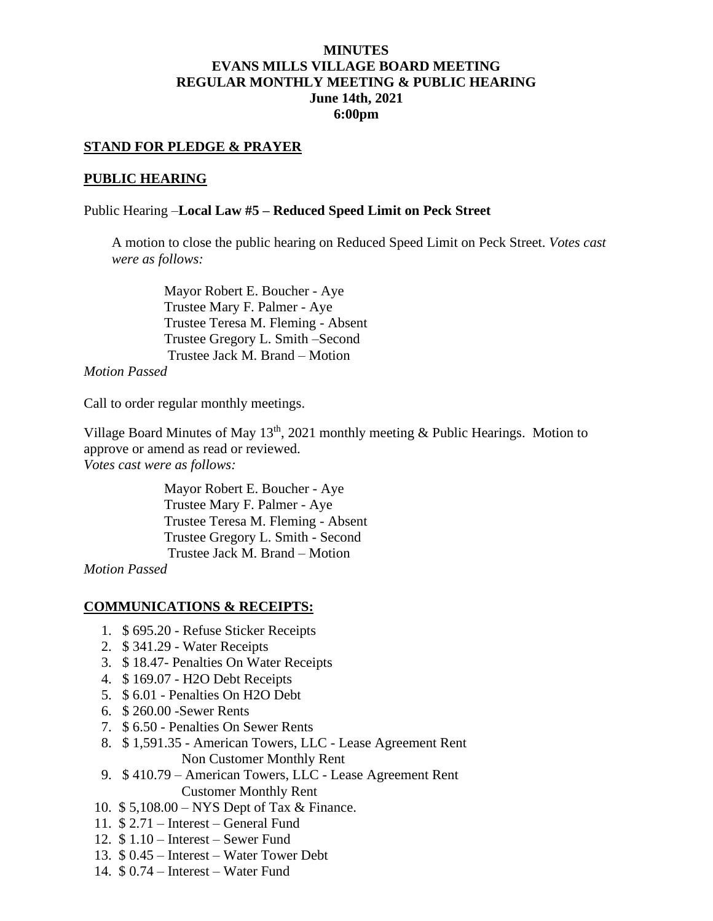# **MINUTES EVANS MILLS VILLAGE BOARD MEETING REGULAR MONTHLY MEETING & PUBLIC HEARING June 14th, 2021 6:00pm**

# **STAND FOR PLEDGE & PRAYER**

## **PUBLIC HEARING**

## Public Hearing –**Local Law #5 – Reduced Speed Limit on Peck Street**

A motion to close the public hearing on Reduced Speed Limit on Peck Street. *Votes cast were as follows:*

> Mayor Robert E. Boucher - Aye Trustee Mary F. Palmer - Aye Trustee Teresa M. Fleming - Absent Trustee Gregory L. Smith –Second Trustee Jack M. Brand – Motion

*Motion Passed*

Call to order regular monthly meetings.

Village Board Minutes of May  $13<sup>th</sup>$ , 2021 monthly meeting & Public Hearings. Motion to approve or amend as read or reviewed. *Votes cast were as follows:*

> Mayor Robert E. Boucher - Aye Trustee Mary F. Palmer - Aye Trustee Teresa M. Fleming - Absent Trustee Gregory L. Smith - Second Trustee Jack M. Brand – Motion

*Motion Passed*

### **COMMUNICATIONS & RECEIPTS:**

- 1. \$ 695.20 Refuse Sticker Receipts
- 2. \$ 341.29 Water Receipts
- 3. \$ 18.47- Penalties On Water Receipts
- 4. \$ 169.07 H2O Debt Receipts
- 5. \$ 6.01 Penalties On H2O Debt
- 6. \$ 260.00 -Sewer Rents
- 7. \$ 6.50 Penalties On Sewer Rents
- 8. \$ 1,591.35 American Towers, LLC Lease Agreement Rent Non Customer Monthly Rent
- 9. \$ 410.79 American Towers, LLC Lease Agreement Rent Customer Monthly Rent
- 10. \$ 5,108.00 NYS Dept of Tax & Finance.
- 11. \$ 2.71 Interest General Fund
- 12. \$ 1.10 Interest Sewer Fund
- 13. \$ 0.45 Interest Water Tower Debt
- 14. \$ 0.74 Interest Water Fund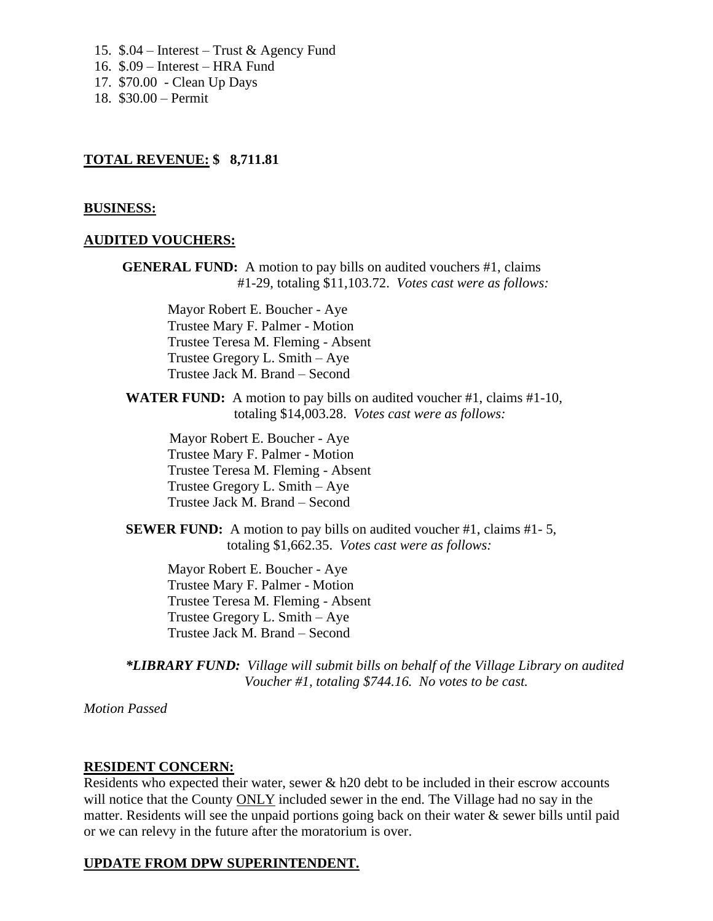- 15. \$.04 Interest Trust & Agency Fund
- 16. \$.09 Interest HRA Fund
- 17. \$70.00 Clean Up Days
- 18. \$30.00 Permit

# **TOTAL REVENUE: \$ 8,711.81**

# **BUSINESS:**

# **AUDITED VOUCHERS:**

**GENERAL FUND:** A motion to pay bills on audited vouchers #1, claims #1-29, totaling \$11,103.72. *Votes cast were as follows:*

> Mayor Robert E. Boucher - Aye Trustee Mary F. Palmer - Motion Trustee Teresa M. Fleming - Absent Trustee Gregory L. Smith – Aye Trustee Jack M. Brand – Second

**WATER FUND:** A motion to pay bills on audited voucher #1, claims #1-10, totaling \$14,003.28. *Votes cast were as follows:*

Mayor Robert E. Boucher - Aye Trustee Mary F. Palmer - Motion Trustee Teresa M. Fleming - Absent Trustee Gregory L. Smith – Aye Trustee Jack M. Brand – Second

**SEWER FUND:** A motion to pay bills on audited voucher #1, claims #1-5, totaling \$1,662.35. *Votes cast were as follows:*

Mayor Robert E. Boucher - Aye Trustee Mary F. Palmer - Motion Trustee Teresa M. Fleming - Absent Trustee Gregory L. Smith – Aye Trustee Jack M. Brand – Second

*\*LIBRARY FUND: Village will submit bills on behalf of the Village Library on audited Voucher #1, totaling \$744.16. No votes to be cast.*

*Motion Passed*

# **RESIDENT CONCERN:**

Residents who expected their water, sewer & h20 debt to be included in their escrow accounts will notice that the County ONLY included sewer in the end. The Village had no say in the matter. Residents will see the unpaid portions going back on their water & sewer bills until paid or we can relevy in the future after the moratorium is over.

# **UPDATE FROM DPW SUPERINTENDENT.**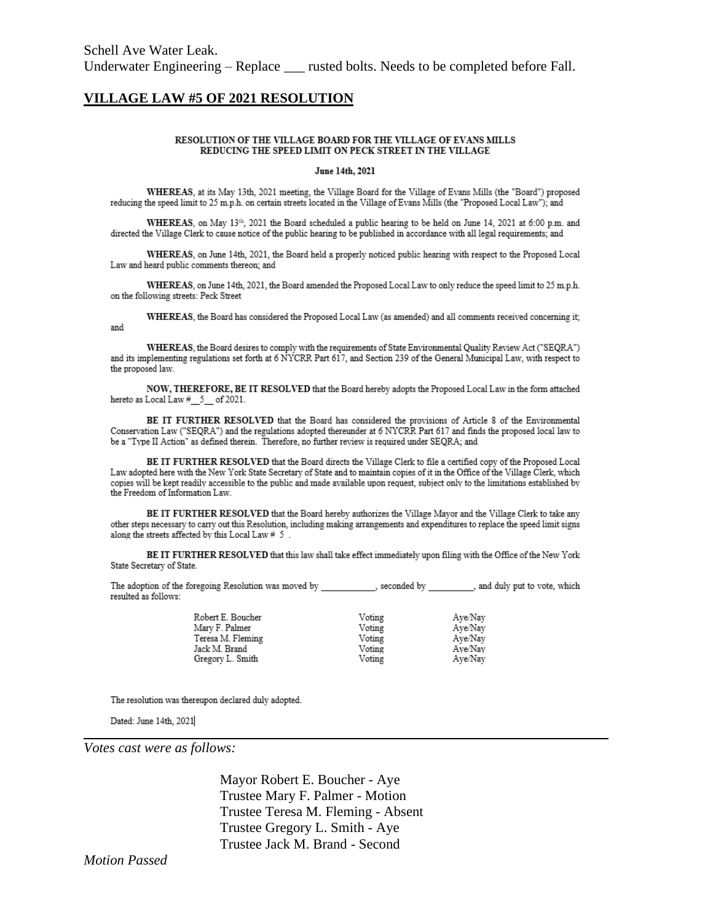### **VILLAGE LAW #5 OF 2021 RESOLUTION**

#### RESOLUTION OF THE VILLAGE BOARD FOR THE VILLAGE OF EVANS MILLS REDUCING THE SPEED LIMIT ON PECK STREET IN THE VILLAGE

#### June 14th, 2021

WHEREAS, at its May 13th, 2021 meeting, the Village Board for the Village of Evans Mills (the "Board") proposed reducing the speed limit to 25 m.p.h. on certain streets located in the Village of Evans Mills (the "Proposed Local Law"); and

WHEREAS, on May 13th, 2021 the Board scheduled a public hearing to be held on June 14, 2021 at 6:00 p.m. and directed the Village Clerk to cause notice of the public hearing to be published in accordance with all legal requirements; and

WHEREAS, on June 14th, 2021, the Board held a properly noticed public hearing with respect to the Proposed Local Law and heard public comments thereon: and

WHEREAS, on June 14th, 2021, the Board amended the Proposed Local Law to only reduce the speed limit to 25 m.p.h. on the following streets: Peck Street

WHEREAS, the Board has considered the Proposed Local Law (as amended) and all comments received concerning it;

WHEREAS, the Board desires to comply with the requirements of State Environmental Quality Review Act ("SEQRA") and its implementing regulations set forth at 6 NYCRR Part 617, and Section 239 of the General Municipal Law, with respect to the proposed law.

NOW, THEREFORE, BE IT RESOLVED that the Board hereby adopts the Proposed Local Law in the form attached hereto as Local Law # 5 of 2021.

BE IT FURTHER RESOLVED that the Board has considered the provisions of Article 8 of the Environmental Conservation Law ("SEQRA") and the regulations adopted thereunder at 6 NYCRR Part 617 and finds the proposed local law to be a "Type II Action" as defined therein. Therefore, no further review is required under SEQRA; and

BE IT FURTHER RESOLVED that the Board directs the Village Clerk to file a certified copy of the Proposed Local Law adopted here with the New York State Secretary of State and to maintain copies of it in the Office of the Village Clerk, which copies will be kept readily accessible to the public and made available upon request, subject only to the limitations established by the Freedom of Information Law.

BE IT FURTHER RESOLVED that the Board hereby authorizes the Village Mayor and the Village Clerk to take any other steps necessary to carry out this Resolution, including making arrangements and expenditures to replace the speed limit signs along the streets affected by this Local Law # 5.

BE IT FURTHER RESOLVED that this law shall take effect immediately upon filing with the Office of the New York State Secretary of State.

The adoption of the foregoing Resolution was moved by \_\_\_\_\_\_\_\_\_\_\_, seconded by \_\_\_\_\_\_\_\_, and duly put to vote, which resulted as follows:

| Robert E. Boucher | Voting | Aye/Nay |
|-------------------|--------|---------|
| Mary F. Palmer    | Voting |         |
|                   |        | Aye/Nav |
| Teresa M. Fleming | Voting | Aye/Nav |
| Jack M. Brand     | Voting | Ave/Nav |
| Gregory L. Smith  | Voting | Aye/Nay |
|                   |        |         |

The resolution was thereupon declared duly adopted.

Dated: June 14th, 2021

and

Votes cast were as follows:

Mayor Robert E. Boucher - Aye Trustee Mary F. Palmer - Motion Trustee Teresa M. Fleming - Absent Trustee Gregory L. Smith - Aye Trustee Jack M. Brand - Second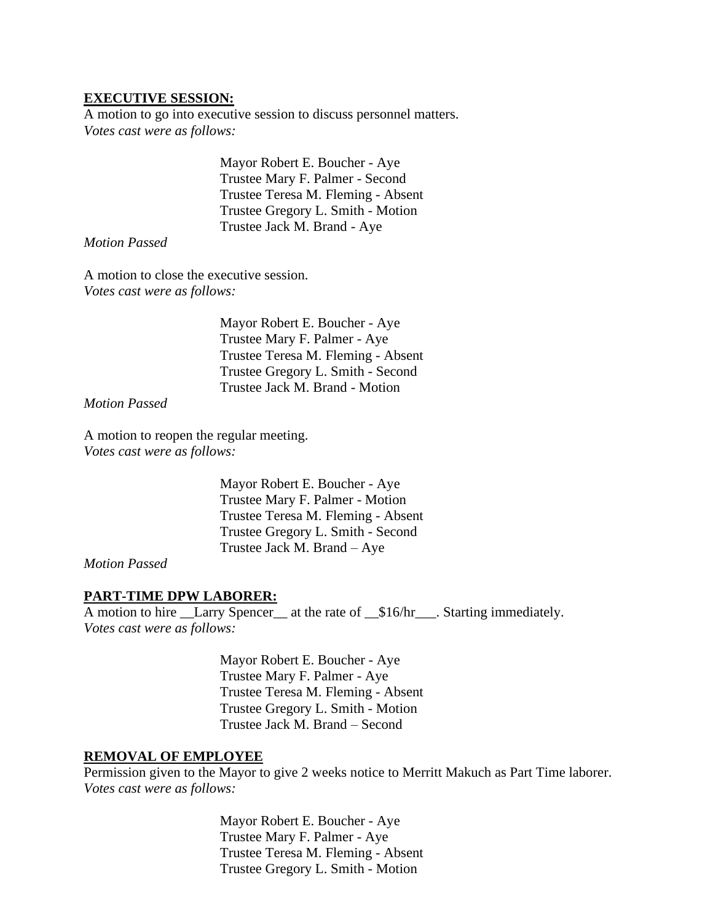# **EXECUTIVE SESSION:**

A motion to go into executive session to discuss personnel matters. *Votes cast were as follows:*

> Mayor Robert E. Boucher - Aye Trustee Mary F. Palmer - Second Trustee Teresa M. Fleming - Absent Trustee Gregory L. Smith - Motion Trustee Jack M. Brand - Aye

*Motion Passed*

A motion to close the executive session. *Votes cast were as follows:*

> Mayor Robert E. Boucher - Aye Trustee Mary F. Palmer - Aye Trustee Teresa M. Fleming - Absent Trustee Gregory L. Smith - Second Trustee Jack M. Brand - Motion

*Motion Passed*

A motion to reopen the regular meeting. *Votes cast were as follows:*

> Mayor Robert E. Boucher - Aye Trustee Mary F. Palmer - Motion Trustee Teresa M. Fleming - Absent Trustee Gregory L. Smith - Second Trustee Jack M. Brand – Aye

*Motion Passed*

### **PART-TIME DPW LABORER:**

A motion to hire \_\_Larry Spencer\_\_ at the rate of \_\_\$16/hr\_\_\_. Starting immediately. *Votes cast were as follows:*

> Mayor Robert E. Boucher - Aye Trustee Mary F. Palmer - Aye Trustee Teresa M. Fleming - Absent Trustee Gregory L. Smith - Motion Trustee Jack M. Brand – Second

## **REMOVAL OF EMPLOYEE**

Permission given to the Mayor to give 2 weeks notice to Merritt Makuch as Part Time laborer. *Votes cast were as follows:*

> Mayor Robert E. Boucher - Aye Trustee Mary F. Palmer - Aye Trustee Teresa M. Fleming - Absent Trustee Gregory L. Smith - Motion